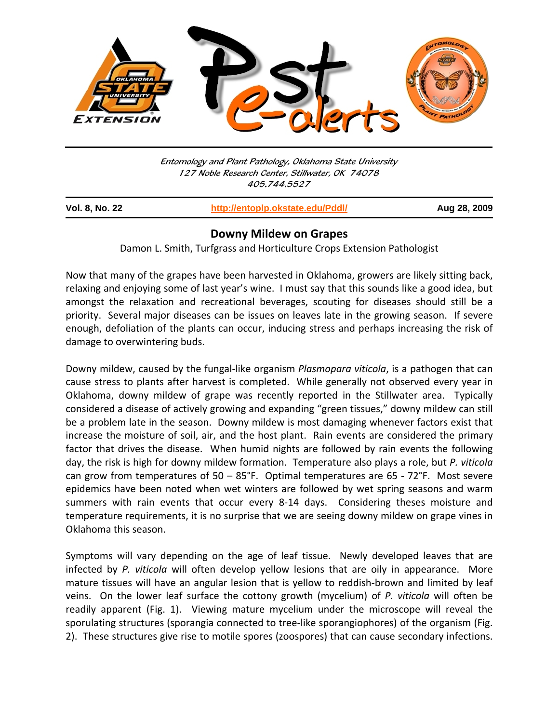

Entomology and Plant Pathology, Oklahoma State University 127 Noble Research Center, Stillwater, OK 74078 405.744.5527

| <b>Vol. 8, No. 22</b> | http://entoplp.okstate.edu/Pddl/ | Aug 28, 2009 |
|-----------------------|----------------------------------|--------------|
|                       |                                  |              |

## **Downy Mildew on Grapes**

Damon L. Smith, Turfgrass and Horticulture Crops Extension Pathologist

Now that many of the grapes have been harvested in Oklahoma, growers are likely sitting back, relaxing and enjoying some of last year's wine. I must say that this sounds like a good idea, but amongst the relaxation and recreational beverages, scouting for diseases should still be a priority. Several major diseases can be issues on leaves late in the growing season. If severe enough, defoliation of the plants can occur, inducing stress and perhaps increasing the risk of damage to overwintering buds.

Downy mildew, caused by the fungal‐like organism *Plasmopara viticola*, is a pathogen that can cause stress to plants after harvest is completed. While generally not observed every year in Oklahoma, downy mildew of grape was recently reported in the Stillwater area. Typically considered a disease of actively growing and expanding "green tissues," downy mildew can still be a problem late in the season. Downy mildew is most damaging whenever factors exist that increase the moisture of soil, air, and the host plant. Rain events are considered the primary factor that drives the disease. When humid nights are followed by rain events the following day, the risk is high for downy mildew formation. Temperature also plays a role, but *P. viticola* can grow from temperatures of  $50 - 85$ °F. Optimal temperatures are  $65 - 72$ °F. Most severe epidemics have been noted when wet winters are followed by wet spring seasons and warm summers with rain events that occur every 8-14 days. Considering theses moisture and temperature requirements, it is no surprise that we are seeing downy mildew on grape vines in Oklahoma this season.

Symptoms will vary depending on the age of leaf tissue. Newly developed leaves that are infected by *P. viticola* will often develop yellow lesions that are oily in appearance. More mature tissues will have an angular lesion that is yellow to reddish‐brown and limited by leaf veins. On the lower leaf surface the cottony growth (mycelium) of *P. viticola* will often be readily apparent (Fig. 1). Viewing mature mycelium under the microscope will reveal the sporulating structures (sporangia connected to tree-like sporangiophores) of the organism (Fig. 2). These structures give rise to motile spores (zoospores) that can cause secondary infections.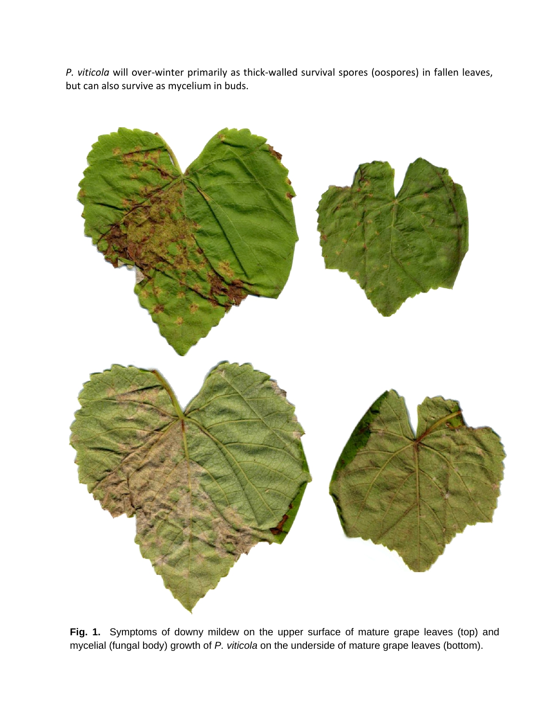*P. viticola* will over‐winter primarily as thick‐walled survival spores (oospores) in fallen leaves, but can also survive as mycelium in buds.



**Fig. 1.** Symptoms of downy mildew on the upper surface of mature grape leaves (top) and mycelial (fungal body) growth of *P. viticola* on the underside of mature grape leaves (bottom).